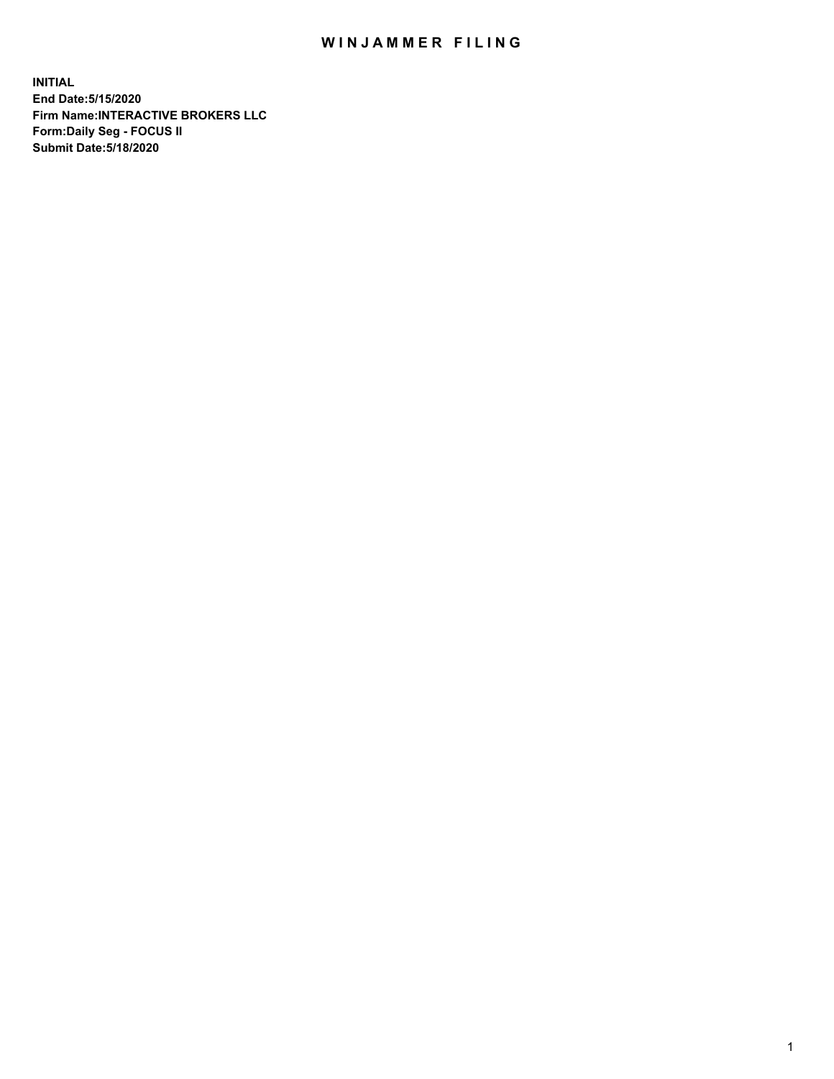## WIN JAMMER FILING

**INITIAL End Date:5/15/2020 Firm Name:INTERACTIVE BROKERS LLC Form:Daily Seg - FOCUS II Submit Date:5/18/2020**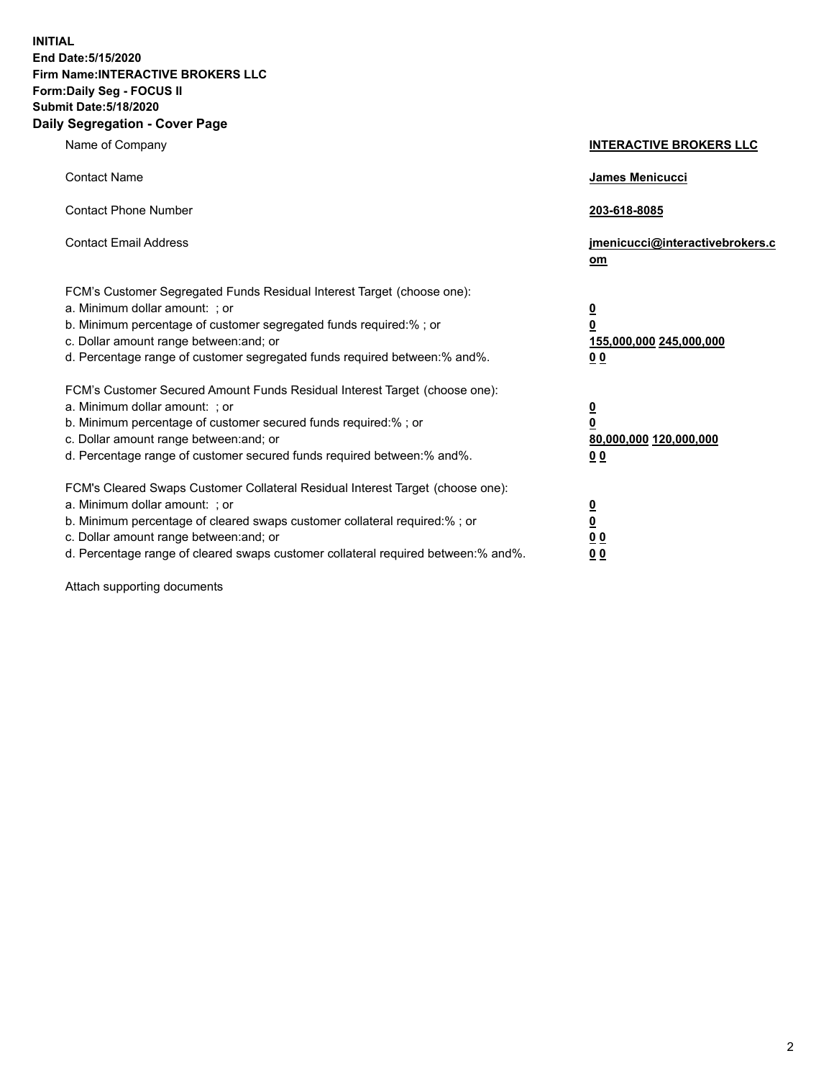**INITIAL End Date:5/15/2020 Firm Name:INTERACTIVE BROKERS LLC Form:Daily Seg - FOCUS II Submit Date:5/18/2020 Daily Segregation - Cover Page**

| Name of Company                                                                                                                                                                                                                                                                                                                | <b>INTERACTIVE BROKERS LLC</b>                                                   |
|--------------------------------------------------------------------------------------------------------------------------------------------------------------------------------------------------------------------------------------------------------------------------------------------------------------------------------|----------------------------------------------------------------------------------|
| <b>Contact Name</b>                                                                                                                                                                                                                                                                                                            | James Menicucci                                                                  |
| <b>Contact Phone Number</b>                                                                                                                                                                                                                                                                                                    | 203-618-8085                                                                     |
| <b>Contact Email Address</b>                                                                                                                                                                                                                                                                                                   | jmenicucci@interactivebrokers.c<br>om                                            |
| FCM's Customer Segregated Funds Residual Interest Target (choose one):<br>a. Minimum dollar amount: ; or<br>b. Minimum percentage of customer segregated funds required:% ; or<br>c. Dollar amount range between: and; or<br>d. Percentage range of customer segregated funds required between:% and%.                         | <u>0</u><br>$\overline{\mathbf{0}}$<br>155,000,000 245,000,000<br>0 <sub>0</sub> |
| FCM's Customer Secured Amount Funds Residual Interest Target (choose one):<br>a. Minimum dollar amount: ; or<br>b. Minimum percentage of customer secured funds required:% ; or<br>c. Dollar amount range between: and; or<br>d. Percentage range of customer secured funds required between:% and%.                           | <u>0</u><br>$\overline{\mathbf{0}}$<br>80,000,000 120,000,000<br>0 <sub>0</sub>  |
| FCM's Cleared Swaps Customer Collateral Residual Interest Target (choose one):<br>a. Minimum dollar amount: ; or<br>b. Minimum percentage of cleared swaps customer collateral required:% ; or<br>c. Dollar amount range between: and; or<br>d. Percentage range of cleared swaps customer collateral required between:% and%. | <u>0</u><br>$\underline{\mathbf{0}}$<br>0 <sub>0</sub><br>0 <sub>0</sub>         |

Attach supporting documents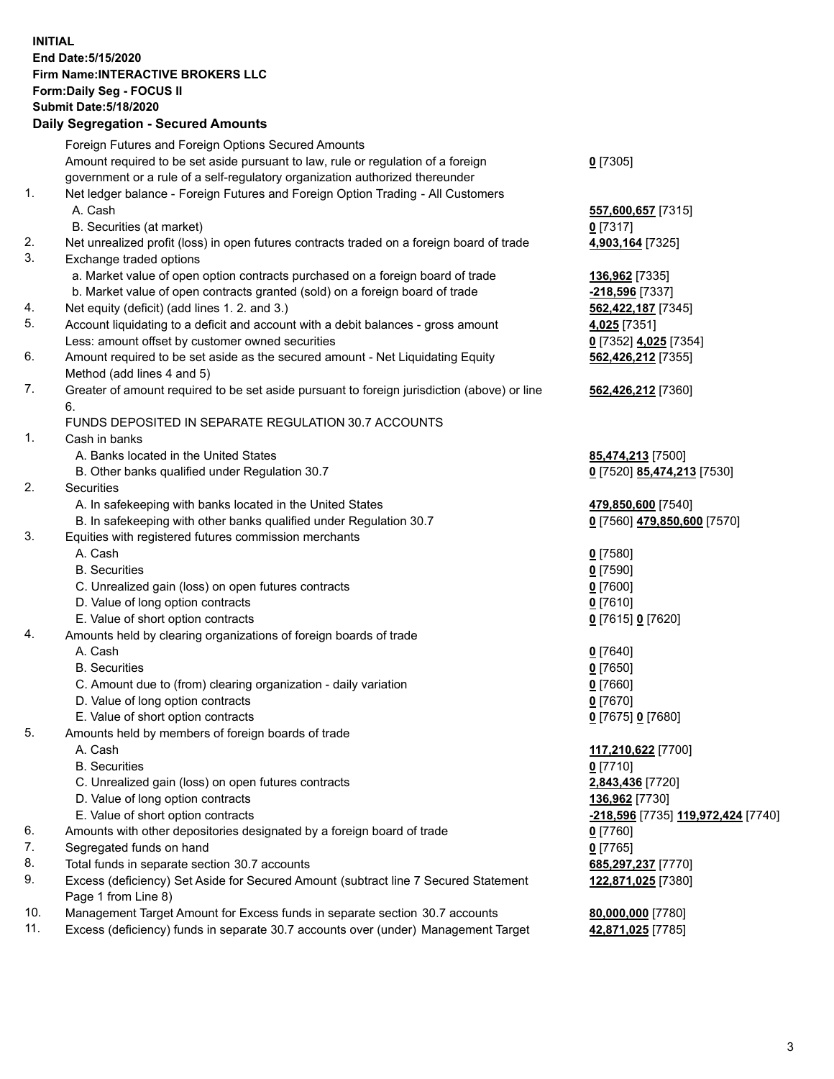**INITIAL End Date:5/15/2020 Firm Name:INTERACTIVE BROKERS LLC Form:Daily Seg - FOCUS II Submit Date:5/18/2020 Daily Segregation - Secured Amounts**

|     | Foreign Futures and Foreign Options Secured Amounts                                         |                                                 |
|-----|---------------------------------------------------------------------------------------------|-------------------------------------------------|
|     | Amount required to be set aside pursuant to law, rule or regulation of a foreign            | $0$ [7305]                                      |
|     | government or a rule of a self-regulatory organization authorized thereunder                |                                                 |
| 1.  | Net ledger balance - Foreign Futures and Foreign Option Trading - All Customers             |                                                 |
|     | A. Cash                                                                                     | 557,600,657 [7315]                              |
|     | B. Securities (at market)                                                                   | $0$ [7317]                                      |
| 2.  | Net unrealized profit (loss) in open futures contracts traded on a foreign board of trade   | 4,903,164 [7325]                                |
| 3.  | Exchange traded options                                                                     |                                                 |
|     | a. Market value of open option contracts purchased on a foreign board of trade              | 136,962 [7335]                                  |
|     | b. Market value of open contracts granted (sold) on a foreign board of trade                | -218,596 [7337]                                 |
| 4.  | Net equity (deficit) (add lines 1. 2. and 3.)                                               | 562,422,187 [7345]                              |
| 5.  | Account liquidating to a deficit and account with a debit balances - gross amount           | 4,025 [7351]                                    |
|     | Less: amount offset by customer owned securities                                            | 0 [7352] 4,025 [7354]                           |
| 6.  | Amount required to be set aside as the secured amount - Net Liquidating Equity              | 562,426,212 [7355]                              |
|     | Method (add lines 4 and 5)                                                                  |                                                 |
| 7.  | Greater of amount required to be set aside pursuant to foreign jurisdiction (above) or line | 562,426,212 [7360]                              |
|     | 6.                                                                                          |                                                 |
|     | FUNDS DEPOSITED IN SEPARATE REGULATION 30.7 ACCOUNTS                                        |                                                 |
| 1.  | Cash in banks                                                                               |                                                 |
|     | A. Banks located in the United States                                                       | 85,474,213 [7500]                               |
|     | B. Other banks qualified under Regulation 30.7                                              | 0 [7520] 85,474,213 [7530]                      |
| 2.  | Securities                                                                                  |                                                 |
|     | A. In safekeeping with banks located in the United States                                   | 479,850,600 [7540]                              |
|     | B. In safekeeping with other banks qualified under Regulation 30.7                          | 0 [7560] 479,850,600 [7570]                     |
| 3.  | Equities with registered futures commission merchants                                       |                                                 |
|     | A. Cash                                                                                     | $0$ [7580]                                      |
|     | <b>B.</b> Securities                                                                        | $0$ [7590]                                      |
|     | C. Unrealized gain (loss) on open futures contracts                                         | $0$ [7600]                                      |
|     | D. Value of long option contracts                                                           | $0$ [7610]                                      |
|     | E. Value of short option contracts                                                          | 0 [7615] 0 [7620]                               |
| 4.  | Amounts held by clearing organizations of foreign boards of trade                           |                                                 |
|     | A. Cash                                                                                     | $0$ [7640]                                      |
|     | <b>B.</b> Securities                                                                        | $0$ [7650]                                      |
|     | C. Amount due to (from) clearing organization - daily variation                             | $0$ [7660]                                      |
|     | D. Value of long option contracts                                                           | $0$ [7670]                                      |
|     | E. Value of short option contracts                                                          | 0 [7675] 0 [7680]                               |
| 5.  | Amounts held by members of foreign boards of trade                                          |                                                 |
|     | A. Cash                                                                                     | 117,210,622 [7700]                              |
|     | <b>B.</b> Securities                                                                        | $0$ [7710]                                      |
|     | C. Unrealized gain (loss) on open futures contracts                                         | 2,843,436 [7720]                                |
|     | D. Value of long option contracts                                                           | 136,962 [7730]                                  |
|     | E. Value of short option contracts                                                          | <mark>-218,596</mark> [7735] 119,972,424 [7740] |
| 6.  | Amounts with other depositories designated by a foreign board of trade                      | $0$ [7760]                                      |
| 7.  | Segregated funds on hand                                                                    | $0$ [7765]                                      |
| 8.  | Total funds in separate section 30.7 accounts                                               | 685,297,237 [7770]                              |
| 9.  | Excess (deficiency) Set Aside for Secured Amount (subtract line 7 Secured Statement         | 122,871,025 [7380]                              |
|     | Page 1 from Line 8)                                                                         |                                                 |
| 10. | Management Target Amount for Excess funds in separate section 30.7 accounts                 | 80,000,000 [7780]                               |
| 11. | Excess (deficiency) funds in separate 30.7 accounts over (under) Management Target          | 42,871,025 [7785]                               |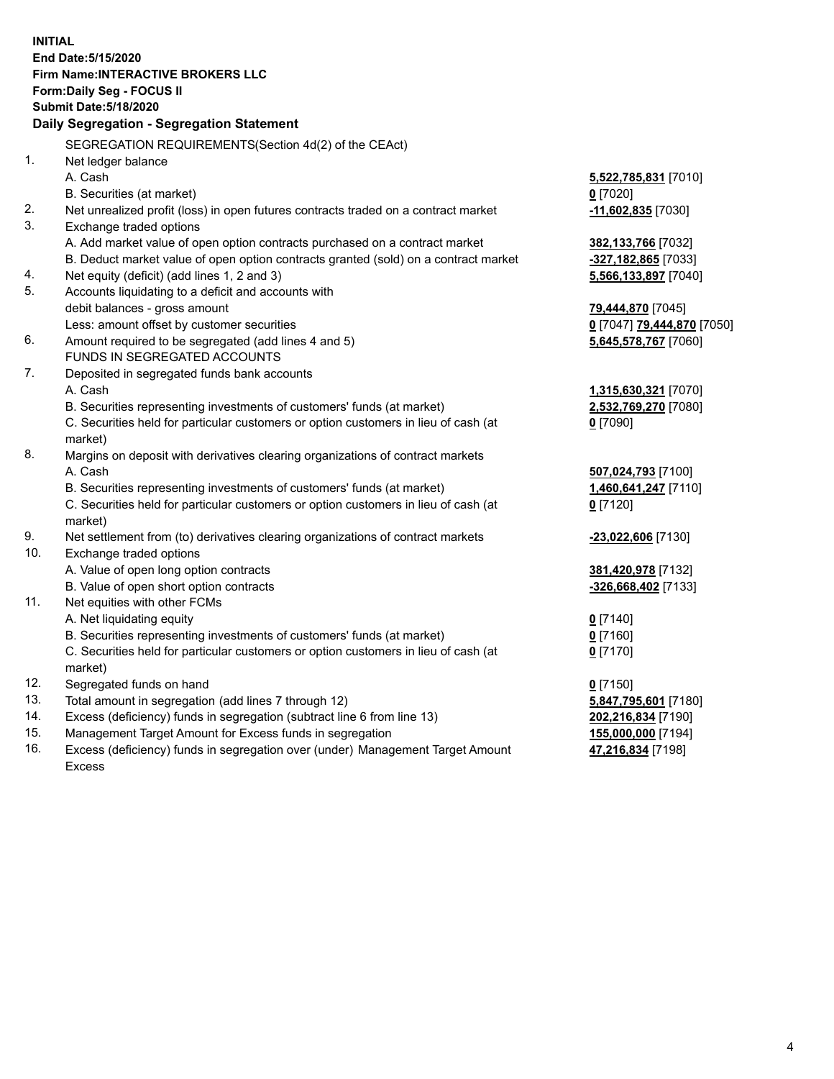**INITIAL End Date:5/15/2020 Firm Name:INTERACTIVE BROKERS LLC Form:Daily Seg - FOCUS II Submit Date:5/18/2020 Daily Segregation - Segregation Statement** SEGREGATION REQUIREMENTS(Section 4d(2) of the CEAct) 1. Net ledger balance A. Cash **5,522,785,831** [7010] B. Securities (at market) **0** [7020] 2. Net unrealized profit (loss) in open futures contracts traded on a contract market **-11,602,835** [7030] 3. Exchange traded options A. Add market value of open option contracts purchased on a contract market **382,133,766** [7032] B. Deduct market value of open option contracts granted (sold) on a contract market **-327,182,865** [7033] 4. Net equity (deficit) (add lines 1, 2 and 3) **5,566,133,897** [7040] 5. Accounts liquidating to a deficit and accounts with debit balances - gross amount **79,444,870** [7045] Less: amount offset by customer securities **0** [7047] **79,444,870** [7050] 6. Amount required to be segregated (add lines 4 and 5) **5,645,578,767** [7060] FUNDS IN SEGREGATED ACCOUNTS 7. Deposited in segregated funds bank accounts A. Cash **1,315,630,321** [7070] B. Securities representing investments of customers' funds (at market) **2,532,769,270** [7080] C. Securities held for particular customers or option customers in lieu of cash (at market) **0** [7090] 8. Margins on deposit with derivatives clearing organizations of contract markets A. Cash **507,024,793** [7100] B. Securities representing investments of customers' funds (at market) **1,460,641,247** [7110] C. Securities held for particular customers or option customers in lieu of cash (at market) **0** [7120] 9. Net settlement from (to) derivatives clearing organizations of contract markets **-23,022,606** [7130] 10. Exchange traded options A. Value of open long option contracts **381,420,978** [7132] B. Value of open short option contracts **-326,668,402** [7133] 11. Net equities with other FCMs A. Net liquidating equity **0** [7140] B. Securities representing investments of customers' funds (at market) **0** [7160] C. Securities held for particular customers or option customers in lieu of cash (at market) **0** [7170] 12. Segregated funds on hand **0** [7150] 13. Total amount in segregation (add lines 7 through 12) **5,847,795,601** [7180] 14. Excess (deficiency) funds in segregation (subtract line 6 from line 13) **202,216,834** [7190] 15. Management Target Amount for Excess funds in segregation **155,000,000** [7194] **47,216,834** [7198]

16. Excess (deficiency) funds in segregation over (under) Management Target Amount Excess